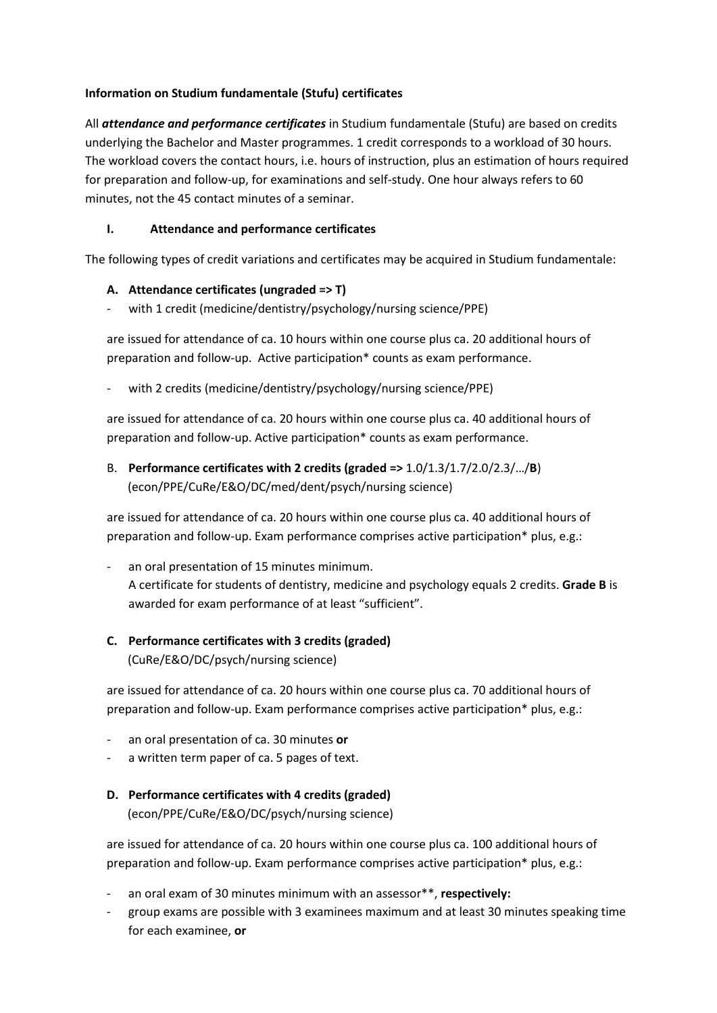#### **Information on Studium fundamentale (Stufu) certificates**

All *attendance and performance certificates* in Studium fundamentale (Stufu) are based on credits underlying the Bachelor and Master programmes. 1 credit corresponds to a workload of 30 hours. The workload covers the contact hours, i.e. hours of instruction, plus an estimation of hours required for preparation and follow-up, for examinations and self-study. One hour always refers to 60 minutes, not the 45 contact minutes of a seminar.

## **I. Attendance and performance certificates**

The following types of credit variations and certificates may be acquired in Studium fundamentale:

### **A. Attendance certificates (ungraded => T)**

with 1 credit (medicine/dentistry/psychology/nursing science/PPE)

are issued for attendance of ca. 10 hours within one course plus ca. 20 additional hours of preparation and follow-up. Active participation\* counts as exam performance.

with 2 credits (medicine/dentistry/psychology/nursing science/PPE)

are issued for attendance of ca. 20 hours within one course plus ca. 40 additional hours of preparation and follow-up. Active participation\* counts as exam performance.

B. **Performance certificates with 2 credits (graded =>** 1.0/1.3/1.7/2.0/2.3/…/**B**) (econ/PPE/CuRe/E&O/DC/med/dent/psych/nursing science)

are issued for attendance of ca. 20 hours within one course plus ca. 40 additional hours of preparation and follow-up. Exam performance comprises active participation\* plus, e.g.:

- an oral presentation of 15 minutes minimum. A certificate for students of dentistry, medicine and psychology equals 2 credits. **Grade B** is awarded for exam performance of at least "sufficient".

# **C. Performance certificates with 3 credits (graded)**

(CuRe/E&O/DC/psych/nursing science)

are issued for attendance of ca. 20 hours within one course plus ca. 70 additional hours of preparation and follow-up. Exam performance comprises active participation\* plus, e.g.:

- an oral presentation of ca. 30 minutes **or**
- a written term paper of ca. 5 pages of text.

# **D. Performance certificates with 4 credits (graded)**

(econ/PPE/CuRe/E&O/DC/psych/nursing science)

are issued for attendance of ca. 20 hours within one course plus ca. 100 additional hours of preparation and follow-up. Exam performance comprises active participation\* plus, e.g.:

- an oral exam of 30 minutes minimum with an assessor\*\*, **respectively:**
- group exams are possible with 3 examinees maximum and at least 30 minutes speaking time for each examinee, **or**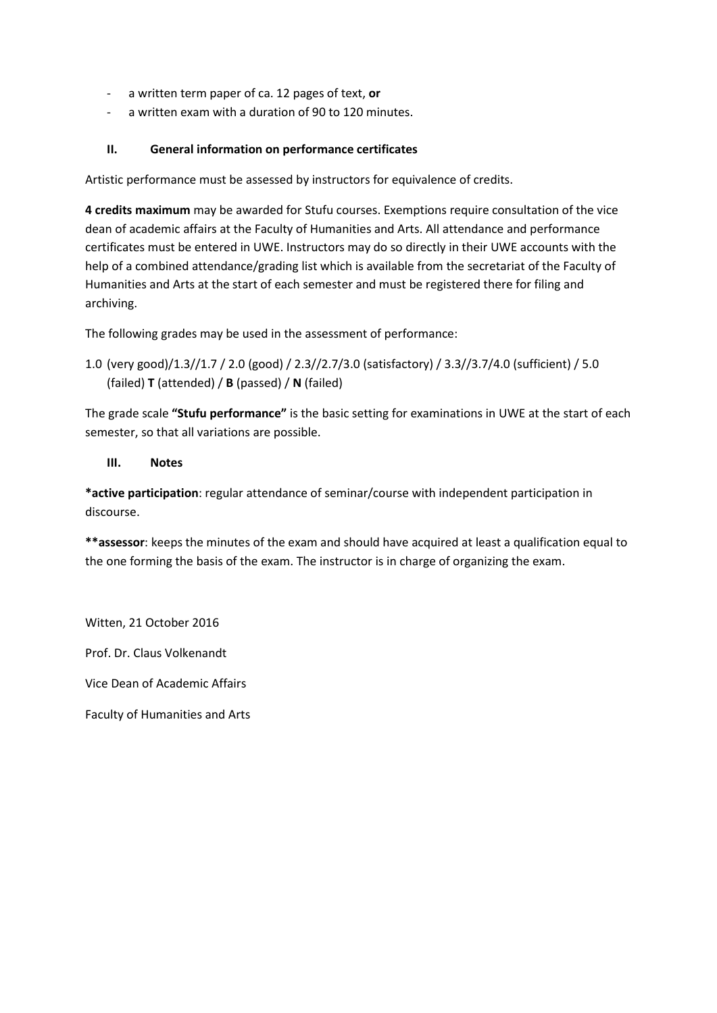- a written term paper of ca. 12 pages of text, **or**
- a written exam with a duration of 90 to 120 minutes.

#### **II. General information on performance certificates**

Artistic performance must be assessed by instructors for equivalence of credits.

**4 credits maximum** may be awarded for Stufu courses. Exemptions require consultation of the vice dean of academic affairs at the Faculty of Humanities and Arts. All attendance and performance certificates must be entered in UWE. Instructors may do so directly in their UWE accounts with the help of a combined attendance/grading list which is available from the secretariat of the Faculty of Humanities and Arts at the start of each semester and must be registered there for filing and archiving.

The following grades may be used in the assessment of performance:

1.0 (very good)/1.3//1.7 / 2.0 (good) / 2.3//2.7/3.0 (satisfactory) / 3.3//3.7/4.0 (sufficient) / 5.0 (failed) **T** (attended) / **B** (passed) / **N** (failed)

The grade scale **"Stufu performance"** is the basic setting for examinations in UWE at the start of each semester, so that all variations are possible.

#### **III. Notes**

**\*active participation**: regular attendance of seminar/course with independent participation in discourse.

**\*\*assessor**: keeps the minutes of the exam and should have acquired at least a qualification equal to the one forming the basis of the exam. The instructor is in charge of organizing the exam.

Witten, 21 October 2016

Prof. Dr. Claus Volkenandt

Vice Dean of Academic Affairs

Faculty of Humanities and Arts